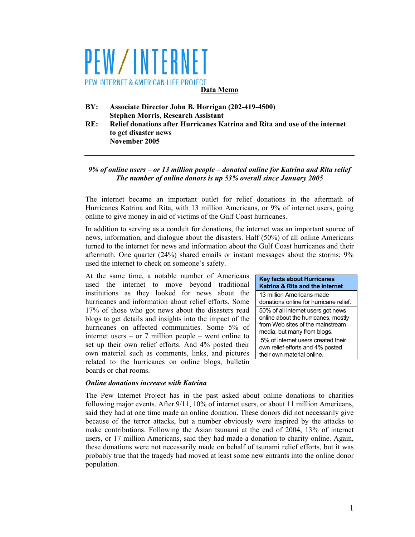# PEW/INTERNET PEW INTERNET & AMERICAN LIFE PROJECT **Data Memo**

- **BY: Associate Director John B. Horrigan (202-419-4500) Stephen Morris, Research Assistant**
- **RE: Relief donations after Hurricanes Katrina and Rita and use of the internet to get disaster news November 2005**

## *9% of online users – or 13 million people – donated online for Katrina and Rita relief The number of online donors is up 53% overall since January 2005*

The internet became an important outlet for relief donations in the aftermath of Hurricanes Katrina and Rita, with 13 million Americans, or 9% of internet users, going online to give money in aid of victims of the Gulf Coast hurricanes.

In addition to serving as a conduit for donations, the internet was an important source of news, information, and dialogue about the disasters. Half (50%) of all online Americans turned to the internet for news and information about the Gulf Coast hurricanes and their aftermath. One quarter (24%) shared emails or instant messages about the storms; 9% used the internet to check on someone's safety.

At the same time, a notable number of Americans used the internet to move beyond traditional institutions as they looked for news about the hurricanes and information about relief efforts. Some 17% of those who got news about the disasters read blogs to get details and insights into the impact of the hurricanes on affected communities. Some 5% of internet users – or 7 million people – went online to set up their own relief efforts. And 4% posted their own material such as comments, links, and pictures related to the hurricanes on online blogs, bulletin boards or chat rooms.

#### **Key facts about Hurricanes Katrina & Rita and the internet**

13 million Americans made donations online for hurricane relief. 50% of all internet users got news online about the hurricanes, mostly from Web sites of the mainstream media, but many from blogs.

 5% of internet users created their own relief efforts and 4% posted their own material online.

#### *Online donations increase with Katrina*

The Pew Internet Project has in the past asked about online donations to charities following major events. After 9/11, 10% of internet users, or about 11 million Americans, said they had at one time made an online donation. These donors did not necessarily give because of the terror attacks, but a number obviously were inspired by the attacks to make contributions. Following the Asian tsunami at the end of 2004, 13% of internet users, or 17 million Americans, said they had made a donation to charity online. Again, these donations were not necessarily made on behalf of tsunami relief efforts, but it was probably true that the tragedy had moved at least some new entrants into the online donor population.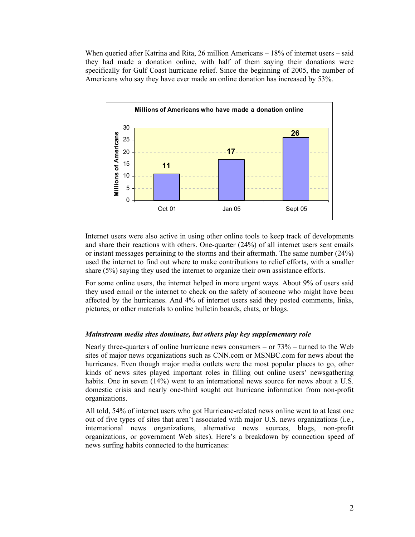When queried after Katrina and Rita, 26 million Americans – 18% of internet users – said they had made a donation online, with half of them saying their donations were specifically for Gulf Coast hurricane relief. Since the beginning of 2005, the number of Americans who say they have ever made an online donation has increased by 53%.



Internet users were also active in using other online tools to keep track of developments and share their reactions with others. One-quarter (24%) of all internet users sent emails or instant messages pertaining to the storms and their aftermath. The same number (24%) used the internet to find out where to make contributions to relief efforts, with a smaller share (5%) saying they used the internet to organize their own assistance efforts.

For some online users, the internet helped in more urgent ways. About 9% of users said they used email or the internet to check on the safety of someone who might have been affected by the hurricanes. And 4% of internet users said they posted comments, links, pictures, or other materials to online bulletin boards, chats, or blogs.

#### *Mainstream media sites dominate, but others play key supplementary role*

Nearly three-quarters of online hurricane news consumers – or  $73%$  – turned to the Web sites of major news organizations such as CNN.com or MSNBC.com for news about the hurricanes. Even though major media outlets were the most popular places to go, other kinds of news sites played important roles in filling out online users' newsgathering habits. One in seven  $(14%)$  went to an international news source for news about a U.S. domestic crisis and nearly one-third sought out hurricane information from non-profit organizations.

All told, 54% of internet users who got Hurricane-related news online went to at least one out of five types of sites that aren't associated with major U.S. news organizations (i.e., international news organizations, alternative news sources, blogs, non-profit organizations, or government Web sites). Here's a breakdown by connection speed of news surfing habits connected to the hurricanes: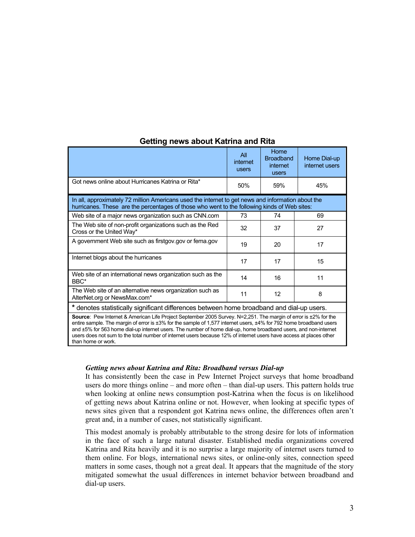|                                                                                                                                                                                                                                                                                                                                                                                                                                                                                                      | All<br>internet<br>users | Home<br><b>Broadband</b><br>internet<br>users | Home Dial-up<br>internet users |
|------------------------------------------------------------------------------------------------------------------------------------------------------------------------------------------------------------------------------------------------------------------------------------------------------------------------------------------------------------------------------------------------------------------------------------------------------------------------------------------------------|--------------------------|-----------------------------------------------|--------------------------------|
| Got news online about Hurricanes Katrina or Rita*                                                                                                                                                                                                                                                                                                                                                                                                                                                    | 50%                      | 59%                                           | 45%                            |
| In all, approximately 72 million Americans used the internet to get news and information about the<br>hurricanes. These are the percentages of those who went to the following kinds of Web sites:                                                                                                                                                                                                                                                                                                   |                          |                                               |                                |
| Web site of a major news organization such as CNN.com                                                                                                                                                                                                                                                                                                                                                                                                                                                | 73                       | 74                                            | 69                             |
| The Web site of non-profit organizations such as the Red<br>Cross or the United Way*                                                                                                                                                                                                                                                                                                                                                                                                                 | 32                       | 37                                            | 27                             |
| A government Web site such as firstgov.gov or fema.gov                                                                                                                                                                                                                                                                                                                                                                                                                                               | 19                       | 20                                            | 17                             |
| Internet blogs about the hurricanes                                                                                                                                                                                                                                                                                                                                                                                                                                                                  | 17                       | 17                                            | 15                             |
| Web site of an international news organization such as the<br>BBC*                                                                                                                                                                                                                                                                                                                                                                                                                                   | 14                       | 16                                            | 11                             |
| The Web site of an alternative news organization such as<br>AlterNet.org or NewsMax.com*                                                                                                                                                                                                                                                                                                                                                                                                             | 11                       | 12                                            | 8                              |
| * denotes statistically significant differences between home broadband and dial-up users.                                                                                                                                                                                                                                                                                                                                                                                                            |                          |                                               |                                |
| Source: Pew Internet & American Life Project September 2005 Survey. N=2,251. The margin of error is ±2% for the<br>entire sample. The margin of error is ±3% for the sample of 1,577 internet users, ±4% for 792 home broadband users<br>and ±5% for 563 home dial-up internet users. The number of home dial-up, home broadband users, and non-internet<br>users does not sum to the total number of internet users because 12% of internet users have access at places other<br>than home or work. |                          |                                               |                                |

## **Getting news about Katrina and Rita**

#### *Getting news about Katrina and Rita: Broadband versus Dial-up*

It has consistently been the case in Pew Internet Project surveys that home broadband users do more things online – and more often – than dial-up users. This pattern holds true when looking at online news consumption post-Katrina when the focus is on likelihood of getting news about Katrina online or not. However, when looking at specific types of news sites given that a respondent got Katrina news online, the differences often aren't great and, in a number of cases, not statistically significant.

This modest anomaly is probably attributable to the strong desire for lots of information in the face of such a large natural disaster. Established media organizations covered Katrina and Rita heavily and it is no surprise a large majority of internet users turned to them online. For blogs, international news sites, or online-only sites, connection speed matters in some cases, though not a great deal. It appears that the magnitude of the story mitigated somewhat the usual differences in internet behavior between broadband and dial-up users.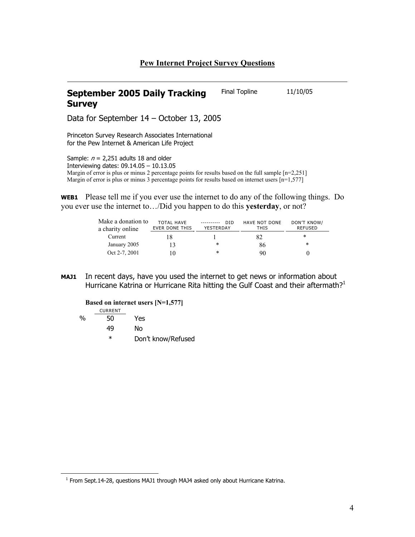## **Pew Internet Project Survey Questions**

#### **September 2005 Daily Tracking Survey**  Final Topline 11/10/05

Data for September 14 – October 13, 2005

Princeton Survey Research Associates International for the Pew Internet & American Life Project

Sample:  $n = 2,251$  adults 18 and older Interviewing dates: 09.14.05 – 10.13.05 Margin of error is plus or minus 2 percentage points for results based on the full sample [n=2,251] Margin of error is plus or minus 3 percentage points for results based on internet users [n=1,577]

**WEB1** Please tell me if you ever use the internet to do any of the following things. Do you ever use the internet to…/Did you happen to do this **yesterday**, or not?

| Make a donation to<br>a charity online | <b>TOTAL HAVE</b><br>EVER DONE THIS | <b>DID</b><br>YESTERDAY | <b>HAVE NOT DONE</b><br>THIS | <b>DON'T KNOW/</b><br><b>REFUSED</b> |
|----------------------------------------|-------------------------------------|-------------------------|------------------------------|--------------------------------------|
| Current                                |                                     |                         | 82                           | ∗                                    |
| January 2005                           | 13                                  | ∗                       | 86                           | *                                    |
| Oct 2-7, 2001                          |                                     | ∗                       | 90                           |                                      |

**MAJ1** In recent days, have you used the internet to get news or information about Hurricane Katrina or Hurricane Rita hitting the Gulf Coast and their aftermath?<sup>1</sup>

**Based on internet users [N=1,577]** 

$$
\underbrace{\texttt{CURRENT}}
$$

 $\overline{a}$ 

% 50 Yes

49 No

\* Don't know/Refused

 $1$  From Sept.14-28, questions MAJ1 through MAJ4 asked only about Hurricane Katrina.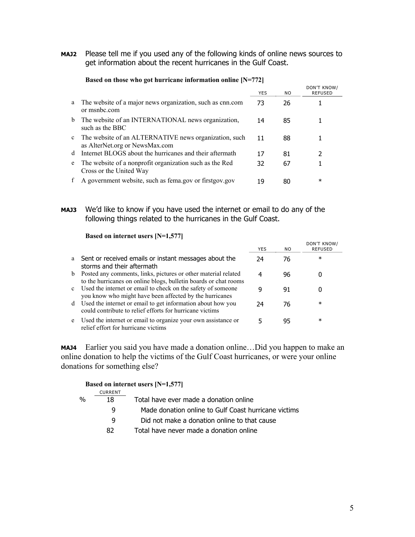**MAJ2** Please tell me if you used any of the following kinds of online news sources to get information about the recent hurricanes in the Gulf Coast.

|              |                                                                                         | YES | NO. | DON'T KNOW/<br><b>REFUSED</b> |
|--------------|-----------------------------------------------------------------------------------------|-----|-----|-------------------------------|
| a            | The website of a major news organization, such as cnn.com<br>or msnbc.com               | 73  | 26  |                               |
| b            | The website of an INTERNATIONAL news organization,<br>such as the BBC                   | 14  | 85  |                               |
| $\mathbf{c}$ | The website of an ALTERNATIVE news organization, such<br>as AlterNet.org or NewsMax.com | 11  | 88  |                               |
| d            | Internet BLOGS about the hurricanes and their aftermath                                 | 17  | 81  | 2                             |
| e            | The website of a nonprofit organization such as the Red<br>Cross or the United Way      | 32  | 67  |                               |
|              | A government website, such as fema gov or firstgov gov                                  | 19  | 80  | $\ast$                        |

#### **Based on those who got hurricane information online [N=772]**

**MAJ3** We'd like to know if you have used the internet or email to do any of the following things related to the hurricanes in the Gulf Coast.

 **Based on internet users [N=1,577]** 

|              |                                                                                                                                    | YES | NO. | <b>DUIT I NIVUW</b><br><b>REFUSED</b> |
|--------------|------------------------------------------------------------------------------------------------------------------------------------|-----|-----|---------------------------------------|
| a            | Sent or received emails or instant messages about the<br>storms and their aftermath                                                | 24  | 76  | $\ast$                                |
| b            | Posted any comments, links, pictures or other material related<br>to the hurricanes on online blogs, bulletin boards or chat rooms | 4   | 96  |                                       |
| $\mathbf{c}$ | Used the internet or email to check on the safety of someone<br>you know who might have been affected by the hurricanes            |     | 91  | O                                     |
| d            | Used the internet or email to get information about how you<br>could contribute to relief efforts for hurricane victims            | 24  | 76  | $\ast$                                |
| e            | Used the internet or email to organize your own assistance or<br>relief effort for hurricane victims                               |     | 95  | $\ast$                                |

**MAJ4** Earlier you said you have made a donation online…Did you happen to make an online donation to help the victims of the Gulf Coast hurricanes, or were your online donations for something else?

|               |                | Based on internet users $[N=1,577]$                  |
|---------------|----------------|------------------------------------------------------|
|               | <b>CURRENT</b> |                                                      |
| $\frac{0}{0}$ | 18             | Total have ever made a donation online               |
|               | q              | Made donation online to Gulf Coast hurricane victims |
|               | a              | Did not make a donation online to that cause         |

82 Total have never made a donation online

DON'T KNOW/